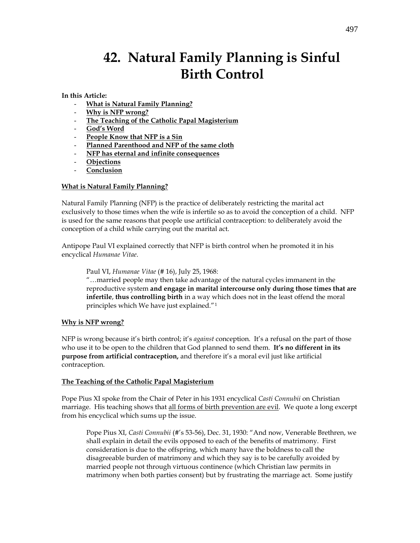# **42. Natural Family Planning is Sinful Birth Control**

## **In this Article:**

- **What is Natural Family Planning?**
- **Why is NFP wrong?**
- The Teaching of the Catholic Papal Magisterium
- **God's Word**
- People Know that NFP is a Sin
- Planned Parenthood and NFP of the same cloth
- **NFP has eternal and infinite consequences**
- **Objections**
- **Conclusion**

# **What is Natural Family Planning?**

Natural Family Planning (NFP) is the practice of deliberately restricting the marital act exclusively to those times when the wife is infertile so as to avoid the conception of a child. NFP is used for the same reasons that people use artificial contraception: to deliberately avoid the conception of a child while carrying out the marital act.

Antipope Paul VI explained correctly that NFP is birth control when he promoted it in his encyclical *Humanae Vitae*.

Paul VI, *Humanae Vitae* (# 16), July 25, 1968:

"…married people may then take advantage of the natural cycles immanent in the reproductive system **and engage in marital intercourse only during those times that are infertile**, **thus controlling birth** in a way which does not in the least offend the moral principles which We have just explained."[1](#page-8-0)

# **Why is NFP wrong?**

NFP is wrong because it's birth control; it's *against* conception. It's a refusal on the part of those who use it to be open to the children that God planned to send them. **It's no different in its purpose from artificial contraception,** and therefore it's a moral evil just like artificial contraception.

## **The Teaching of the Catholic Papal Magisterium**

Pope Pius XI spoke from the Chair of Peter in his 1931 encyclical *Casti Connubii* on Christian marriage. His teaching shows that all forms of birth prevention are evil. We quote a long excerpt from his encyclical which sums up the issue.

Pope Pius XI, *Casti Connubii* (#'s 53-56), Dec. 31, 1930: "And now, Venerable Brethren, we shall explain in detail the evils opposed to each of the benefits of matrimony. First consideration is due to the offspring, which many have the boldness to call the disagreeable burden of matrimony and which they say is to be carefully avoided by married people not through virtuous continence (which Christian law permits in matrimony when both parties consent) but by frustrating the marriage act. Some justify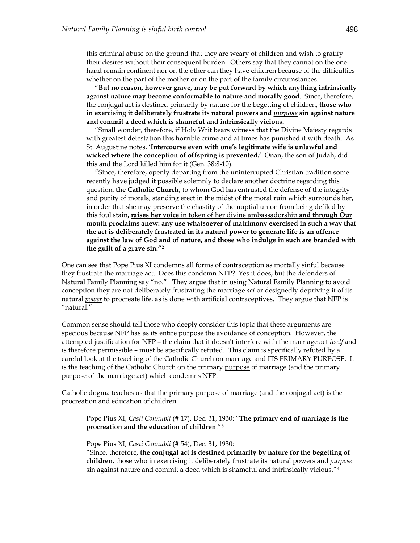this criminal abuse on the ground that they are weary of children and wish to gratify their desires without their consequent burden. Others say that they cannot on the one hand remain continent nor on the other can they have children because of the difficulties whether on the part of the mother or on the part of the family circumstances.

 "**But no reason, however grave, may be put forward by which anything intrinsically against nature may become conformable to nature and morally good**. Since, therefore, the conjugal act is destined primarily by nature for the begetting of children, **those who in exercising it deliberately frustrate its natural powers and** *purpose* **sin against nature and commit a deed which is shameful and intrinsically vicious.**

"Small wonder, therefore, if Holy Writ bears witness that the Divine Majesty regards with greatest detestation this horrible crime and at times has punished it with death. As St. Augustine notes, '**Intercourse even with one's legitimate wife is unlawful and wicked where the conception of offspring is prevented.'** Onan, the son of Judah, did this and the Lord killed him for it (Gen. 38:8-10).

 "Since, therefore, openly departing from the uninterrupted Christian tradition some recently have judged it possible solemnly to declare another doctrine regarding this question, **the Catholic Church**, to whom God has entrusted the defense of the integrity and purity of morals, standing erect in the midst of the moral ruin which surrounds her, in order that she may preserve the chastity of the nuptial union from being defiled by this foul stain**, raises her voice** in token of her divine ambassadorship **and through Our mouth proclaims anew: any use whatsoever of matrimony exercised in such a way that the act is deliberately frustrated in its natural power to generate life is an offence against the law of God and of nature, and those who indulge in such are branded with the guilt of a grave sin."[2](#page-8-1)**

One can see that Pope Pius XI condemns all forms of contraception as mortally sinful because they frustrate the marriage act. Does this condemn NFP? Yes it does, but the defenders of Natural Family Planning say "no." They argue that in using Natural Family Planning to avoid conception they are not deliberately frustrating the marriage *act* or designedly depriving it of its natural *power* to procreate life, as is done with artificial contraceptives. They argue that NFP is "natural."

Common sense should tell those who deeply consider this topic that these arguments are specious because NFP has as its entire purpose the avoidance of conception. However, the attempted justification for NFP – the claim that it doesn't interfere with the marriage act *itself* and is therefore permissible – must be specifically refuted. This claim is specifically refuted by a careful look at the teaching of the Catholic Church on marriage and ITS PRIMARY PURPOSE. It is the teaching of the Catholic Church on the primary purpose of marriage (and the primary purpose of the marriage act) which condemns NFP.

Catholic dogma teaches us that the primary purpose of marriage (and the conjugal act) is the procreation and education of children.

Pope Pius XI, *Casti Connubii* (# 17), Dec. 31, 1930: "The primary end of marriage is the **procreation and the education of children**."[3](#page-8-2)

Pope Pius XI, *Casti Connubii* (# 54), Dec. 31, 1930: "Since, therefore, **the conjugal act is destined primarily by nature for the begetting of** 

**children**, those who in exercising it deliberately frustrate its natural powers and *purpose* sin against nature and commit a deed which is shameful and intrinsically vicious."<sup>[4](#page-8-3)</sup>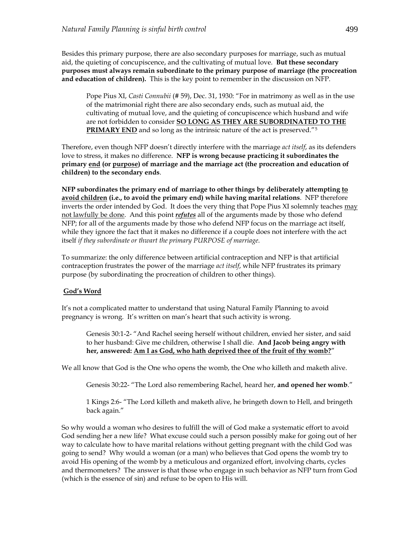Besides this primary purpose, there are also secondary purposes for marriage, such as mutual aid, the quieting of concupiscence, and the cultivating of mutual love. **But these secondary purposes must always remain subordinate to the primary purpose of marriage (the procreation and education of children).** This is the key point to remember in the discussion on NFP.

Pope Pius XI, *Casti Connubii* (# 59), Dec. 31, 1930: "For in matrimony as well as in the use of the matrimonial right there are also secondary ends, such as mutual aid, the cultivating of mutual love, and the quieting of concupiscence which husband and wife are not forbidden to consider **SO LONG AS THEY ARE SUBORDINATED TO THE PRIMARY END** and so long as the intrinsic nature of the act is preserved."<sup>[5](#page-8-4)</sup>

Therefore, even though NFP doesn't directly interfere with the marriage *act itself*, as its defenders love to stress, it makes no difference. **NFP is wrong because practicing it subordinates the primary end (or purpose) of marriage and the marriage act (the procreation and education of children) to the secondary ends**.

**NFP subordinates the primary end of marriage to other things by deliberately attempting to avoid children (i.e., to avoid the primary end) while having marital relations**. NFP therefore inverts the order intended by God. It does the very thing that Pope Pius XI solemnly teaches may not lawfully be done. And this point *refutes* all of the arguments made by those who defend NFP; for all of the arguments made by those who defend NFP focus on the marriage act itself, while they ignore the fact that it makes no difference if a couple does not interfere with the act itself *if they subordinate or thwart the primary PURPOSE of marriage*.

To summarize: the only difference between artificial contraception and NFP is that artificial contraception frustrates the power of the marriage *act itself*, while NFP frustrates its primary purpose (by subordinating the procreation of children to other things).

# **God's Word**

It's not a complicated matter to understand that using Natural Family Planning to avoid pregnancy is wrong. It's written on man's heart that such activity is wrong.

Genesis 30:1-2- "And Rachel seeing herself without children, envied her sister, and said to her husband: Give me children, otherwise I shall die. **And Jacob being angry with her, answered: Am I as God, who hath deprived thee of the fruit of thy womb?**"

We all know that God is the One who opens the womb, the One who killeth and maketh alive.

Genesis 30:22- "The Lord also remembering Rachel, heard her, **and opened her womb**."

1 Kings 2:6- "The Lord killeth and maketh alive, he bringeth down to Hell, and bringeth back again."

So why would a woman who desires to fulfill the will of God make a systematic effort to avoid God sending her a new life? What excuse could such a person possibly make for going out of her way to calculate how to have marital relations without getting pregnant with the child God was going to send? Why would a woman (or a man) who believes that God opens the womb try to avoid His opening of the womb by a meticulous and organized effort, involving charts, cycles and thermometers? The answer is that those who engage in such behavior as NFP turn from God (which is the essence of sin) and refuse to be open to His will.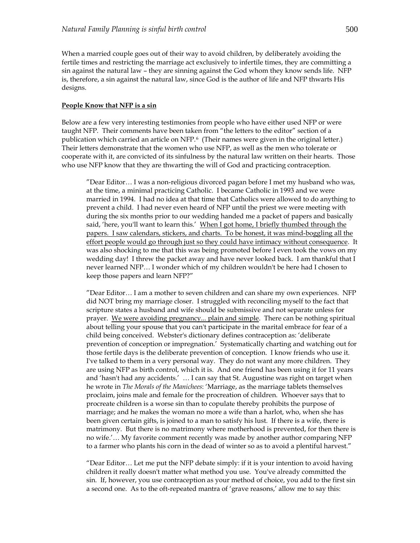When a married couple goes out of their way to avoid children, by deliberately avoiding the fertile times and restricting the marriage act exclusively to infertile times, they are committing a sin against the natural law – they are sinning against the God whom they know sends life. NFP is, therefore, a sin against the natural law, since God is the author of life and NFP thwarts His designs.

#### **People Know that NFP is a sin**

Below are a few very interesting testimonies from people who have either used NFP or were taught NFP. Their comments have been taken from "the letters to the editor" section of a publication which carried an article on NFP.<sup>[6](#page-8-5)</sup> (Their names were given in the original letter.) Their letters demonstrate that the women who use NFP, as well as the men who tolerate or cooperate with it, are convicted of its sinfulness by the natural law written on their hearts. Those who use NFP know that they are thwarting the will of God and practicing contraception.

"Dear Editor… I was a non-religious divorced pagan before I met my husband who was, at the time, a minimal practicing Catholic. I became Catholic in 1993 and we were married in 1994. I had no idea at that time that Catholics were allowed to do anything to prevent a child. I had never even heard of NFP until the priest we were meeting with during the six months prior to our wedding handed me a packet of papers and basically said, 'here, you'll want to learn this.' When I got home, I briefly thumbed through the papers. I saw calendars, stickers, and charts. To be honest, it was mind-boggling all the effort people would go through just so they could have intimacy without consequence. It was also shocking to me that this was being promoted before I even took the vows on my wedding day! I threw the packet away and have never looked back. I am thankful that I never learned NFP… I wonder which of my children wouldn't be here had I chosen to keep those papers and learn NFP?"

"Dear Editor… I am a mother to seven children and can share my own experiences. NFP did NOT bring my marriage closer. I struggled with reconciling myself to the fact that scripture states a husband and wife should be submissive and not separate unless for prayer. We were avoiding pregnancy... plain and simple. There can be nothing spiritual about telling your spouse that you can't participate in the marital embrace for fear of a child being conceived. Webster's dictionary defines contraception as: 'deliberate prevention of conception or impregnation.' Systematically charting and watching out for those fertile days is the deliberate prevention of conception. I know friends who use it. I've talked to them in a very personal way. They do not want any more children. They are using NFP as birth control, which it is. And one friend has been using it for 11 years and 'hasn't had any accidents.' … I can say that St. Augustine was right on target when he wrote in *The Morals of the Manichees*: 'Marriage, as the marriage tablets themselves proclaim, joins male and female for the procreation of children. Whoever says that to procreate children is a worse sin than to copulate thereby prohibits the purpose of marriage; and he makes the woman no more a wife than a harlot, who, when she has been given certain gifts, is joined to a man to satisfy his lust. If there is a wife, there is matrimony. But there is no matrimony where motherhood is prevented, for then there is no wife.'… My favorite comment recently was made by another author comparing NFP to a farmer who plants his corn in the dead of winter so as to avoid a plentiful harvest."

"Dear Editor… Let me put the NFP debate simply: if it is your intention to avoid having children it really doesn't matter what method you use. You've already committed the sin. If, however, you use contraception as your method of choice, you add to the first sin a second one. As to the oft-repeated mantra of 'grave reasons,' allow me to say this: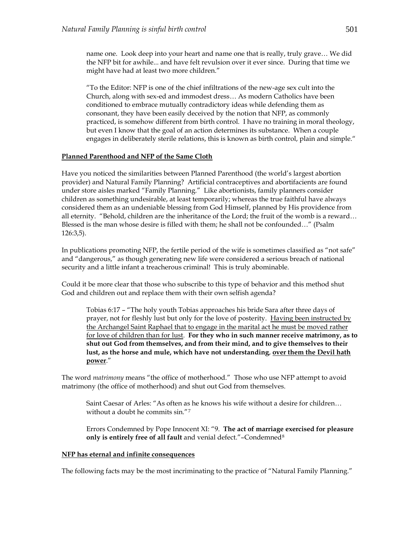name one. Look deep into your heart and name one that is really, truly grave… We did the NFP bit for awhile... and have felt revulsion over it ever since. During that time we might have had at least two more children."

"To the Editor: NFP is one of the chief infiltrations of the new-age sex cult into the Church, along with sex-ed and immodest dress… As modern Catholics have been conditioned to embrace mutually contradictory ideas while defending them as consonant, they have been easily deceived by the notion that NFP, as commonly practiced, is somehow different from birth control. I have no training in moral theology, but even I know that the goal of an action determines its substance. When a couple engages in deliberately sterile relations, this is known as birth control, plain and simple."

# **Planned Parenthood and NFP of the Same Cloth**

Have you noticed the similarities between Planned Parenthood (the world's largest abortion provider) and Natural Family Planning? Artificial contraceptives and abortifacients are found under store aisles marked "Family Planning." Like abortionists, family planners consider children as something undesirable, at least temporarily; whereas the true faithful have always considered them as an undeniable blessing from God Himself, planned by His providence from all eternity. "Behold, children are the inheritance of the Lord; the fruit of the womb is a reward… Blessed is the man whose desire is filled with them; he shall not be confounded…" (Psalm 126:3,5).

In publications promoting NFP, the fertile period of the wife is sometimes classified as "not safe" and "dangerous," as though generating new life were considered a serious breach of national security and a little infant a treacherous criminal! This is truly abominable.

Could it be more clear that those who subscribe to this type of behavior and this method shut God and children out and replace them with their own selfish agenda?

Tobias 6:17 – "The holy youth Tobias approaches his bride Sara after three days of prayer, not for fleshly lust but only for the love of posterity. Having been instructed by the Archangel Saint Raphael that to engage in the marital act he must be moved rather for love of children than for lust. **For they who in such manner receive matrimony, as to shut out God from themselves, and from their mind, and to give themselves to their lust, as the horse and mule, which have not understanding**, **over them the Devil hath power**."

The word *matrimony* means "the office of motherhood." Those who use NFP attempt to avoid matrimony (the office of motherhood) and shut out God from themselves.

Saint Caesar of Arles: "As often as he knows his wife without a desire for children… without a doubt he commits sin."<sup>[7](#page-8-6)</sup>

Errors Condemned by Pope Innocent XI: "9. **The act of marriage exercised for pleasure**  only is entirely free of all fault and venial defect."-Condemned<sup>[8](#page-8-7)</sup>

# **NFP has eternal and infinite consequences**

The following facts may be the most incriminating to the practice of "Natural Family Planning."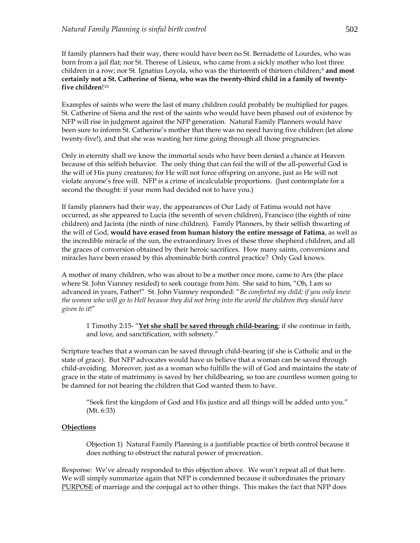If family planners had their way, there would have been no St. Bernadette of Lourdes, who was born from a jail flat; nor St. Therese of Lisieux, who came from a sickly mother who lost three children in a row; nor St. Ignatius Loyola, who was the thirteenth of thirteen children;<sup>[9](#page-8-8)</sup> **and most certainly not a St. Catherine of Siena, who was the twenty-third child in a family of twentyfive children**![10](#page-8-9)

Examples of saints who were the last of many children could probably be multiplied for pages. St. Catherine of Siena and the rest of the saints who would have been phased out of existence by NFP will rise in judgment against the NFP generation. Natural Family Planners would have been sure to inform St. Catherine's mother that there was no need having five children (let alone twenty-five!), and that she was wasting her time going through all those pregnancies.

Only in eternity shall we know the immortal souls who have been denied a chance at Heaven because of this selfish behavior. The only thing that can foil the will of the all-powerful God is the will of His puny creatures; for He will not force offspring on anyone, just as He will not violate anyone's free will. NFP is a crime of incalculable proportions. (Just contemplate for a second the thought: if your mom had decided not to have you.)

If family planners had their way, the appearances of Our Lady of Fatima would not have occurred, as she appeared to Lucia (the seventh of seven children), Francisco (the eighth of nine children) and Jacinta (the ninth of nine children). Family Planners, by their selfish thwarting of the will of God, **would have erased from human history the entire message of Fatima**, as well as the incredible miracle of the sun, the extraordinary lives of these three shepherd children, and all the graces of conversion obtained by their heroic sacrifices. How many saints, conversions and miracles have been erased by this abominable birth control practice? Only God knows.

A mother of many children, who was about to be a mother once more, came to Ars (the place where St. John Vianney resided) to seek courage from him. She said to him, "Oh, I am so advanced in years, Father!" St. John Vianney responded: "*Be comforted my child; if you only knew the women who will go to Hell because they did not bring into the world the children they should have given to it*!"

1 Timothy 2:15- "**Yet she shall be saved through child-bearing**; if she continue in faith, and love, and sanctification, with sobriety."

Scripture teaches that a woman can be saved through child-bearing (if she is Catholic and in the state of grace). But NFP advocates would have us believe that a woman can be saved through child-avoiding. Moreover, just as a woman who fulfills the will of God and maintains the state of grace in the state of matrimony is saved by her childbearing, so too are countless women going to be damned for not bearing the children that God wanted them to have.

"Seek first the kingdom of God and His justice and all things will be added unto you." (Mt. 6:33)

#### **Objections**

Objection 1) Natural Family Planning is a justifiable practice of birth control because it does nothing to obstruct the natural power of procreation.

Response: We've already responded to this objection above. We won't repeat all of that here. We will simply summarize again that NFP is condemned because it subordinates the primary PURPOSE of marriage and the conjugal act to other things. This makes the fact that NFP does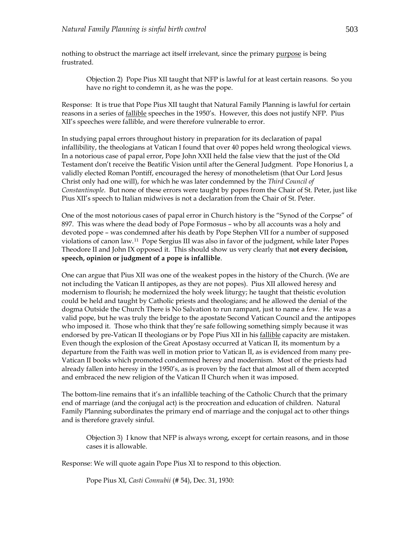nothing to obstruct the marriage act itself irrelevant, since the primary purpose is being frustrated.

Objection 2) Pope Pius XII taught that NFP is lawful for at least certain reasons. So you have no right to condemn it, as he was the pope.

Response: It is true that Pope Pius XII taught that Natural Family Planning is lawful for certain reasons in a series of fallible speeches in the 1950's. However, this does not justify NFP. Pius XII's speeches were fallible, and were therefore vulnerable to error.

In studying papal errors throughout history in preparation for its declaration of papal infallibility, the theologians at Vatican I found that over 40 popes held wrong theological views. In a notorious case of papal error, Pope John XXII held the false view that the just of the Old Testament don't receive the Beatific Vision until after the General Judgment. Pope Honorius I, a validly elected Roman Pontiff, encouraged the heresy of monotheletism (that Our Lord Jesus Christ only had one will), for which he was later condemned by the *Third Council of Constantinople*. But none of these errors were taught by popes from the Chair of St. Peter, just like Pius XII's speech to Italian midwives is not a declaration from the Chair of St. Peter.

One of the most notorious cases of papal error in Church history is the "Synod of the Corpse" of 897. This was where the dead body of Pope Formosus – who by all accounts was a holy and devoted pope – was condemned after his death by Pope Stephen VII for a number of supposed violations of canon law.[11](#page-8-10) Pope Sergius III was also in favor of the judgment, while later Popes Theodore II and John IX opposed it. This should show us very clearly that **not every decision, speech, opinion or judgment of a pope is infallible**.

One can argue that Pius XII was one of the weakest popes in the history of the Church. (We are not including the Vatican II antipopes, as they are not popes). Pius XII allowed heresy and modernism to flourish; he modernized the holy week liturgy; he taught that theistic evolution could be held and taught by Catholic priests and theologians; and he allowed the denial of the dogma Outside the Church There is No Salvation to run rampant, just to name a few. He was a valid pope, but he was truly the bridge to the apostate Second Vatican Council and the antipopes who imposed it. Those who think that they're safe following something simply because it was endorsed by pre-Vatican II theologians or by Pope Pius XII in his *fallible* capacity are mistaken. Even though the explosion of the Great Apostasy occurred at Vatican II, its momentum by a departure from the Faith was well in motion prior to Vatican II, as is evidenced from many pre-Vatican II books which promoted condemned heresy and modernism. Most of the priests had already fallen into heresy in the 1950's, as is proven by the fact that almost all of them accepted and embraced the new religion of the Vatican II Church when it was imposed.

The bottom-line remains that it's an infallible teaching of the Catholic Church that the primary end of marriage (and the conjugal act) is the procreation and education of children. Natural Family Planning subordinates the primary end of marriage and the conjugal act to other things and is therefore gravely sinful.

Objection 3) I know that NFP is always wrong, except for certain reasons, and in those cases it is allowable.

Response: We will quote again Pope Pius XI to respond to this objection.

Pope Pius XI, *Casti Connubii* (# 54), Dec. 31, 1930: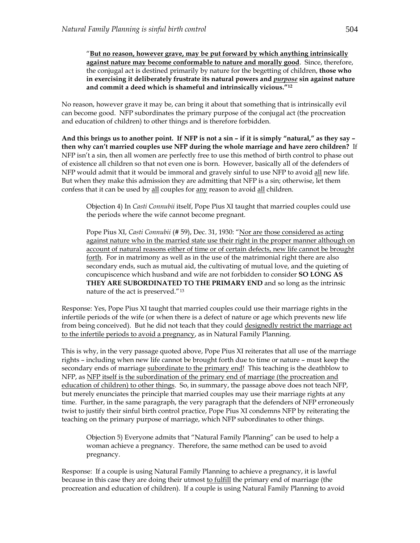"**But no reason, however grave, may be put forward by which anything intrinsically against nature may become conformable to nature and morally good**. Since, therefore, the conjugal act is destined primarily by nature for the begetting of children, **those who in exercising it deliberately frustrate its natural powers and** *purpose* **sin against nature and commit a deed which is shameful and intrinsically vicious."[12](#page-8-11)**

No reason, however grave it may be, can bring it about that something that is intrinsically evil can become good. NFP subordinates the primary purpose of the conjugal act (the procreation and education of children) to other things and is therefore forbidden.

**And this brings us to another point. If NFP is not a sin – if it is simply "natural," as they say – then why can't married couples use NFP during the whole marriage and have zero children?** If NFP isn't a sin, then all women are perfectly free to use this method of birth control to phase out of existence all children so that not even one is born. However, basically all of the defenders of NFP would admit that it would be immoral and gravely sinful to use NFP to avoid all new life. But when they make this admission they are admitting that NFP is a sin; otherwise, let them confess that it can be used by all couples for any reason to avoid all children.

Objection 4) In *Casti Connubii* itself, Pope Pius XI taught that married couples could use the periods where the wife cannot become pregnant.

Pope Pius XI, *Casti Connubii* (# 59), Dec. 31, 1930: "Nor are those considered as acting against nature who in the married state use their right in the proper manner although on account of natural reasons either of time or of certain defects, new life cannot be brought forth. For in matrimony as well as in the use of the matrimonial right there are also secondary ends, such as mutual aid, the cultivating of mutual love, and the quieting of concupiscence which husband and wife are not forbidden to consider **SO LONG AS THEY ARE SUBORDINATED TO THE PRIMARY END** and so long as the intrinsic nature of the act is preserved."[13](#page-8-12)

Response: Yes, Pope Pius XI taught that married couples could use their marriage rights in the infertile periods of the wife (or when there is a defect of nature or age which prevents new life from being conceived). But he did not teach that they could designedly restrict the marriage act to the infertile periods to avoid a pregnancy, as in Natural Family Planning.

This is why, in the very passage quoted above, Pope Pius XI reiterates that all use of the marriage rights – including when new life cannot be brought forth due to time or nature – must keep the secondary ends of marriage subordinate to the primary end! This teaching is the deathblow to NFP, as NFP itself is the subordination of the primary end of marriage (the procreation and education of children) to other things. So, in summary, the passage above does not teach NFP, but merely enunciates the principle that married couples may use their marriage rights at any time. Further, in the same paragraph, the very paragraph that the defenders of NFP erroneously twist to justify their sinful birth control practice, Pope Pius XI condemns NFP by reiterating the teaching on the primary purpose of marriage, which NFP subordinates to other things.

Objection 5) Everyone admits that "Natural Family Planning" can be used to help a woman achieve a pregnancy. Therefore, the same method can be used to avoid pregnancy.

Response: If a couple is using Natural Family Planning to achieve a pregnancy, it is lawful because in this case they are doing their utmost to fulfill the primary end of marriage (the procreation and education of children). If a couple is using Natural Family Planning to avoid